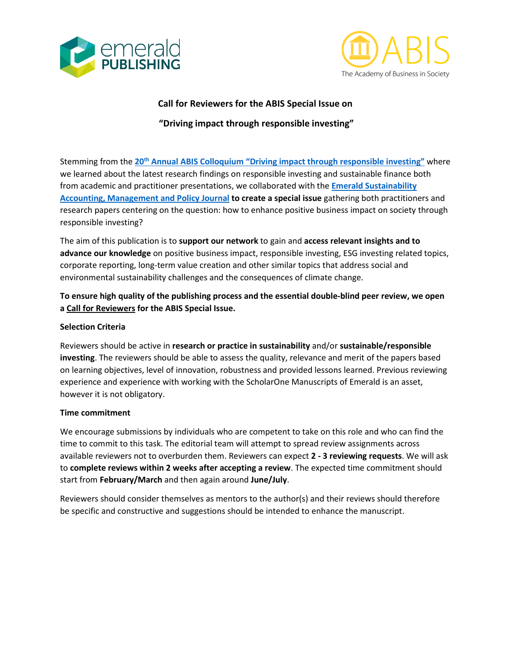



### **Call for Reviewers for the ABIS Special Issue on**

# **"Driving impact through responsible investing"**

Stemming from the **20th [Annual ABIS Colloquium "Driving impact through responsible investing"](https://www.abis-global.org/events/20th-abis-annual-colloquium-2021)** where we learned about the latest research findings on responsible investing and sustainable finance both from academic and practitioner presentations, we collaborated with the **Emerald [Sustainability](https://www.emeraldgrouppublishing.com/journal/sampj)  [Accounting, Management and Policy Journal](https://www.emeraldgrouppublishing.com/journal/sampj) to create a special issue** gathering both practitioners and research papers centering on the question: how to enhance positive business impact on society through responsible investing?

The aim of this publication is to **support our network** to gain and **access relevant insights and to advance our knowledge** on positive business impact, responsible investing, ESG investing related topics, corporate reporting, long-term value creation and other similar topics that address social and environmental sustainability challenges and the consequences of climate change.

# **To ensure high quality of the publishing process and the essential double-blind peer review, we open a Call for Reviewers for the ABIS Special Issue.**

#### **Selection Criteria**

Reviewers should be active in **research or practice in sustainability** and/or **sustainable/responsible investing**. The reviewers should be able to assess the quality, relevance and merit of the papers based on learning objectives, level of innovation, robustness and provided lessons learned. Previous reviewing experience and experience with working with the ScholarOne Manuscripts of Emerald is an asset, however it is not obligatory.

#### **Time commitment**

We encourage submissions by individuals who are competent to take on this role and who can find the time to commit to this task. The editorial team will attempt to spread review assignments across available reviewers not to overburden them. Reviewers can expect **2 - 3 reviewing requests**. We will ask to **complete reviews within 2 weeks after accepting a review**. The expected time commitment should start from **February/March** and then again around **June/July**.

Reviewers should consider themselves as mentors to the author(s) and their reviews should therefore be specific and constructive and suggestions should be intended to enhance the manuscript.